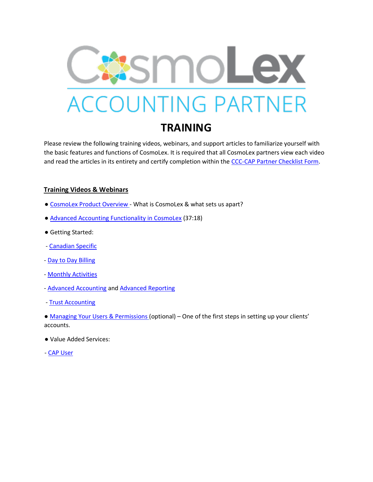

## **TRAINING**

Please review the following training videos, webinars, and support articles to familiarize yourself with the basic features and functions of CosmoLex. It is required that all CosmoLex partners view each video and read the articles in its entirety and certify completion within the [CCC-CAP Partner Checklist Form.](https://docs.google.com/forms/d/e/1FAIpQLSfuzBXmvh90RhbidZpUllI8IEQqjZfGyIKVns_x8Pxy4k_kOw/viewform)

## **Training Videos & Webinars**

- [CosmoLex Product Overview](https://www.cosmolex.ca/?video=overview-canada) What is CosmoLex & what sets us apart?
- [Advanced Accounting Functionality in CosmoLex](https://support.cosmolex.com/knowledge-base/webinar-advanced-accounting-functionality/) (37:18)
- Getting Started:
- [Canadian Specific](https://support.cosmolex.com/articles/canada-specific/)
- [Day to Day Billing](https://support.cosmolex.com/articles/billing/)
- [Monthly Activities](https://support.cosmolex.com/knowledge-base/reconcile-your-bank-account/)
- [Advanced Accounting](https://support.cosmolex.com/articles/class-based-accounting/) an[d Advanced Reporting](https://support.cosmolex.com/knowledge-base/create-class-based-reports/)
- [Trust Accounting](https://support.cosmolex.com/articles/trust-accounting/)

• [Managing Your Users & Permissions](https://support.cosmolex.com/knowledge-base/manage-user-roles/) (optional) – One of the first steps in setting up your clients' accounts.

- Value Added Services:
- [CAP User](https://support.cosmolex.com/knowledge-base/add-cosmolex-accounting-partner-cap-to-subscription/#what-is-a-cap)